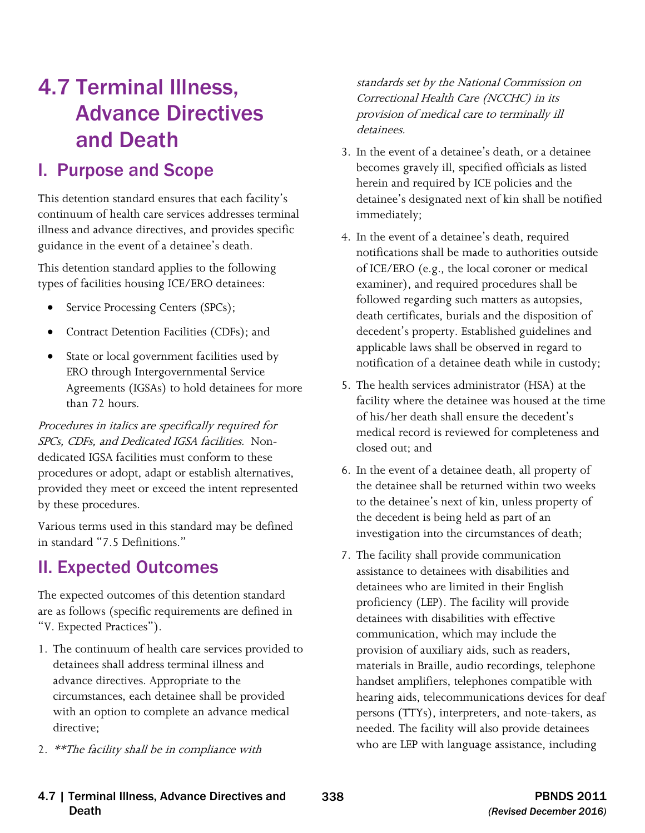# 4.7 Terminal Illness, Advance Directives and Death

## I. Purpose and Scope

 continuum of health care services addresses terminal This detention standard ensures that each facility's illness and advance directives, and provides specific guidance in the event of a detainee's death.

This detention standard applies to the following types of facilities housing ICE/ERO detainees:

- Service Processing Centers (SPCs);
- Contract Detention Facilities (CDFs); and
- State or local government facilities used by ERO through Intergovernmental Service Agreements (IGSAs) to hold detainees for more than 72 hours.

Procedures in italics are specifically required for SPCs, CDFs, and Dedicated IGSA facilities. Nondedicated IGSA facilities must conform to these procedures or adopt, adapt or establish alternatives, provided they meet or exceed the intent represented by these procedures.

Various terms used in this standard may be defined in standard "7.5 Definitions."

## II. Expected Outcomes

The expected outcomes of this detention standard are as follows (specific requirements are defined in "V. Expected Practices").

- 1. The continuum of health care services provided to detainees shall address terminal illness and advance directives. Appropriate to the circumstances, each detainee shall be provided with an option to complete an advance medical directive;
- 2. \*\*The facility shall be in compliance with

standards set by the National Commission on Correctional Health Care (NCCHC) in its provision of medical care to terminally ill detainees.

- 3. In the event of a detainee's death, or a detainee becomes gravely ill, specified officials as listed herein and required by ICE policies and the detainee's designated next of kin shall be notified immediately;
- 4. In the event of a detainee's death, required notifications shall be made to authorities outside of ICE/ERO (e.g., the local coroner or medical examiner), and required procedures shall be followed regarding such matters as autopsies, death certificates, burials and the disposition of decedent's property. Established guidelines and applicable laws shall be observed in regard to notification of a detainee death while in custody;
- 5. The health services administrator (HSA) at the facility where the detainee was housed at the time of his/her death shall ensure the decedent's medical record is reviewed for completeness and closed out; and
- 6. In the event of a detainee death, all property of the detainee shall be returned within two weeks to the detainee's next of kin, unless property of the decedent is being held as part of an investigation into the circumstances of death;
- 7. The facility shall provide communication assistance to detainees with disabilities and detainees who are limited in their English proficiency (LEP). The facility will provide detainees with disabilities with effective communication, which may include the provision of auxiliary aids, such as readers, materials in Braille, audio recordings, telephone handset amplifiers, telephones compatible with hearing aids, telecommunications devices for deaf persons (TTYs), interpreters, and note-takers, as needed. The facility will also provide detainees who are LEP with language assistance, including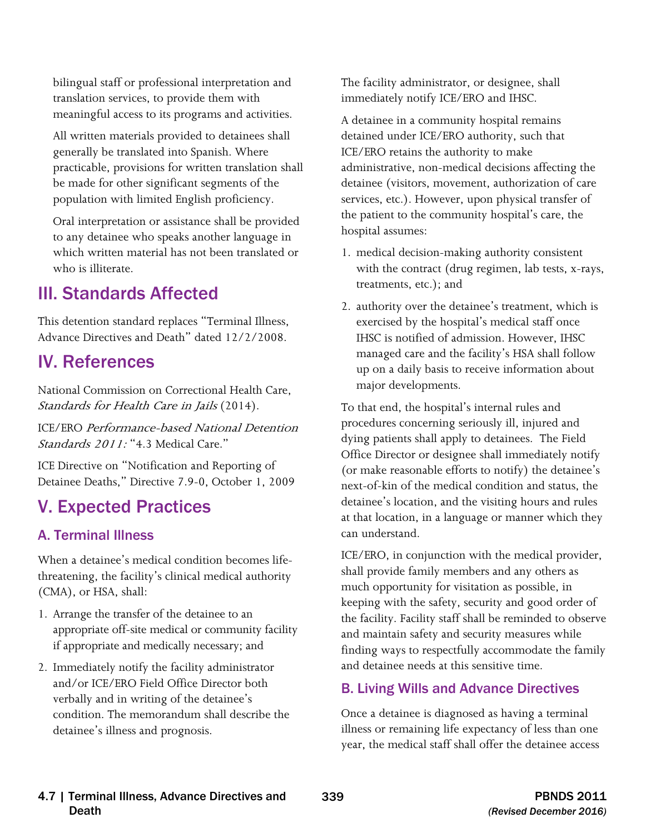bilingual staff or professional interpretation and translation services, to provide them with meaningful access to its programs and activities.

All written materials provided to detainees shall generally be translated into Spanish. Where practicable, provisions for written translation shall be made for other significant segments of the population with limited English proficiency.

Oral interpretation or assistance shall be provided to any detainee who speaks another language in which written material has not been translated or who is illiterate.

## III. Standards Affected

This detention standard replaces "Terminal Illness, Advance Directives and Death" dated 12/2/2008.

## IV. References

Standards for Health Care in Jails (2014). National Commission on Correctional Health Care,

ICE/ERO Performance-based National Detention Standards 2011: "4.3 Medical Care."

ICE Directive on "Notification and Reporting of Detainee Deaths," Directive 7.9-0, October 1, 2009

## V. Expected Practices

## A. Terminal Illness

When a detainee's medical condition becomes lifethreatening, the facility's clinical medical authority (CMA), or HSA, shall:

- 1. Arrange the transfer of the detainee to an appropriate off-site medical or community facility if appropriate and medically necessary; and
- 2. Immediately notify the facility administrator and/or ICE/ERO Field Office Director both verbally and in writing of the detainee's condition. The memorandum shall describe the detainee's illness and prognosis.

The facility administrator, or designee, shall immediately notify ICE/ERO and IHSC.

A detainee in a community hospital remains detained under ICE/ERO authority, such that ICE/ERO retains the authority to make administrative, non-medical decisions affecting the detainee (visitors, movement, authorization of care services, etc.). However, upon physical transfer of the patient to the community hospital's care, the hospital assumes:

- 1. medical decision-making authority consistent with the contract (drug regimen, lab tests, x-rays, treatments, etc.); and
- 2. authority over the detainee's treatment, which is exercised by the hospital's medical staff once IHSC is notified of admission. However, IHSC managed care and the facility's HSA shall follow up on a daily basis to receive information about major developments.

can understand. To that end, the hospital's internal rules and procedures concerning seriously ill, injured and dying patients shall apply to detainees. The Field Office Director or designee shall immediately notify (or make reasonable efforts to notify) the detainee's next-of-kin of the medical condition and status, the detainee's location, and the visiting hours and rules at that location, in a language or manner which they

ICE/ERO, in conjunction with the medical provider, shall provide family members and any others as much opportunity for visitation as possible, in keeping with the safety, security and good order of the facility. Facility staff shall be reminded to observe and maintain safety and security measures while finding ways to respectfully accommodate the family and detainee needs at this sensitive time.

## B. Living Wills and Advance Directives

Once a detainee is diagnosed as having a terminal illness or remaining life expectancy of less than one year, the medical staff shall offer the detainee access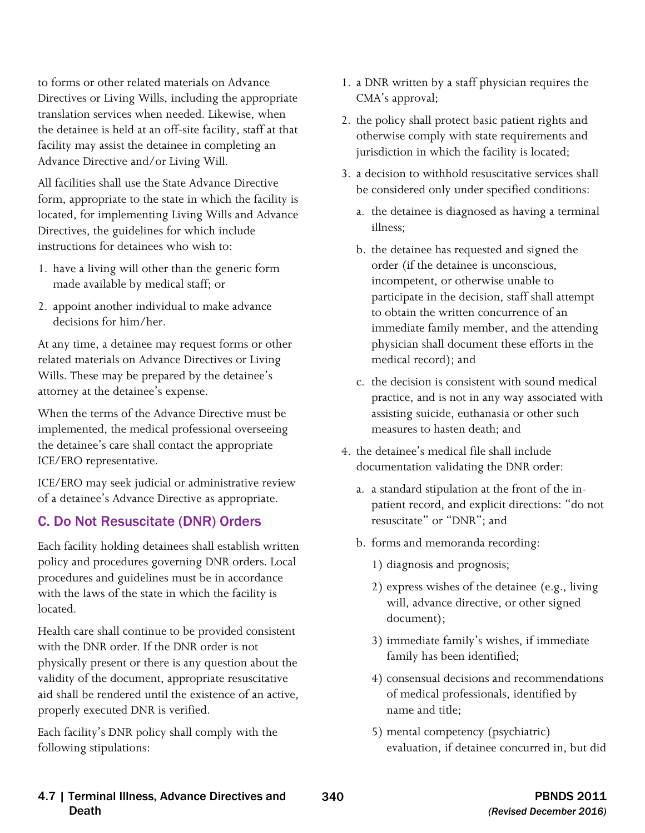to forms or other related materials on Advance Directives or Living Wills, including the appropriate translation services when needed. Likewise, when the detainee is held at an off-site facility, staff at that facility may assist the detainee in completing an Advance Directive and/or Living Will.

All facilities shall use the State Advance Directive form, appropriate to the state in which the facility is located, for implementing Living Wills and Advance Directives, the guidelines for which include instructions for detainees who wish to:

- 1. have a living will other than the generic form made available by medical staff; or
- 2. appoint another individual to make advance decisions for him/her.

At any time, a detainee may request forms or other related materials on Advance Directives or Living Wills. These may be prepared by the detainee's attorney at the detainee's expense.

When the terms of the Advance Directive must be implemented, the medical professional overseeing the detainee's care shall contact the appropriate ICE/ERO representative.

ICE/ERO may seek judicial or administrative review of a detainee's Advance Directive as appropriate.

### C. Do Not Resuscitate (DNR) Orders

Each facility holding detainees shall establish written policy and procedures governing DNR orders. Local procedures and guidelines must be in accordance with the laws of the state in which the facility is located.

Health care shall continue to be provided consistent with the DNR order. If the DNR order is not physically present or there is any question about the validity of the document, appropriate resuscitative aid shall be rendered until the existence of an active, properly executed DNR is verified.

Each facility's DNR policy shall comply with the following stipulations:

- 1. a DNR written by a staff physician requires the CMA's approval;
- 2. the policy shall protect basic patient rights and otherwise comply with state requirements and jurisdiction in which the facility is located;
- 3. a decision to withhold resuscitative services shall be considered only under specified conditions:
	- a. the detainee is diagnosed as having a terminal illness;
	- b. the detainee has requested and signed the order (if the detainee is unconscious, incompetent, or otherwise unable to participate in the decision, staff shall attempt to obtain the written concurrence of an immediate family member, and the attending physician shall document these efforts in the medical record); and
	- c. the decision is consistent with sound medical practice, and is not in any way associated with assisting suicide, euthanasia or other such measures to hasten death; and
- 4. the detainee's medical file shall include documentation validating the DNR order:
	- a. a standard stipulation at the front of the inpatient record, and explicit directions: "do not resuscitate" or "DNR"; and
	- b. forms and memoranda recording:
		- 1) diagnosis and prognosis;
		- 2) express wishes of the detainee (e.g., living will, advance directive, or other signed document);
		- 3) immediate family's wishes, if immediate family has been identified;
		- 4) consensual decisions and recommendations of medical professionals, identified by name and title;
		- 5) mental competency (psychiatric) evaluation, if detainee concurred in, but did

#### 4.7 | Terminal Illness, Advance Directives and 340 PBNDS 2011 Death *(Revised December 2016)*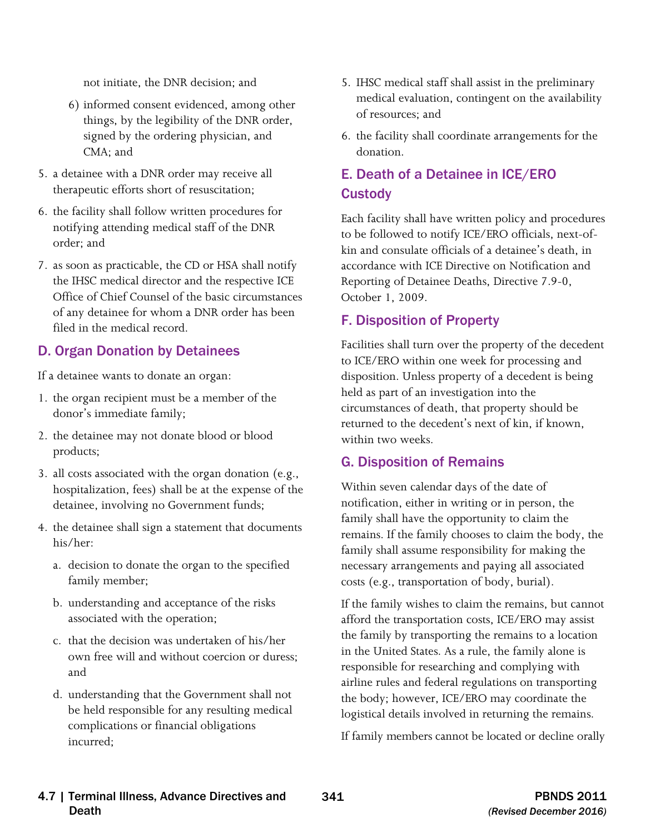not initiate, the DNR decision; and

- 6) informed consent evidenced, among other things, by the legibility of the DNR order, signed by the ordering physician, and CMA; and
- 5. a detainee with a DNR order may receive all therapeutic efforts short of resuscitation;
- 6. the facility shall follow written procedures for notifying attending medical staff of the DNR order; and
- 7. as soon as practicable, the CD or HSA shall notify the IHSC medical director and the respective ICE Office of Chief Counsel of the basic circumstances of any detainee for whom a DNR order has been filed in the medical record.

### D. Organ Donation by Detainees

If a detainee wants to donate an organ:

- 1. the organ recipient must be a member of the donor's immediate family;
- 2. the detainee may not donate blood or blood products;
- 3. all costs associated with the organ donation (e.g., hospitalization, fees) shall be at the expense of the detainee, involving no Government funds;
- 4. the detainee shall sign a statement that documents his/her:
	- a. decision to donate the organ to the specified family member;
	- b. understanding and acceptance of the risks associated with the operation;
	- c. that the decision was undertaken of his/her own free will and without coercion or duress; and
	- d. understanding that the Government shall not be held responsible for any resulting medical complications or financial obligations incurred;
- 5. IHSC medical staff shall assist in the preliminary medical evaluation, contingent on the availability of resources; and
- 6. the facility shall coordinate arrangements for the donation.

## E. Death of a Detainee in ICE/ERO **Custody**

Each facility shall have written policy and procedures to be followed to notify ICE/ERO officials, next-ofkin and consulate officials of a detainee's death, in accordance with ICE Directive on Notification and Reporting of Detainee Deaths, Directive 7.9-0, October 1, 2009.

## F. Disposition of Property

Facilities shall turn over the property of the decedent to ICE/ERO within one week for processing and disposition. Unless property of a decedent is being held as part of an investigation into the circumstances of death, that property should be returned to the decedent's next of kin, if known, within two weeks.

### G. Disposition of Remains

 family shall assume responsibility for making the Within seven calendar days of the date of notification, either in writing or in person, the family shall have the opportunity to claim the remains. If the family chooses to claim the body, the necessary arrangements and paying all associated costs (e.g., transportation of body, burial).

If the family wishes to claim the remains, but cannot afford the transportation costs, ICE/ERO may assist the family by transporting the remains to a location in the United States. As a rule, the family alone is responsible for researching and complying with airline rules and federal regulations on transporting the body; however, ICE/ERO may coordinate the logistical details involved in returning the remains.

If family members cannot be located or decline orally

#### 4.7 | Terminal Illness, Advance Directives and 341 PBNDS 2011 Death *(Revised December 2016)*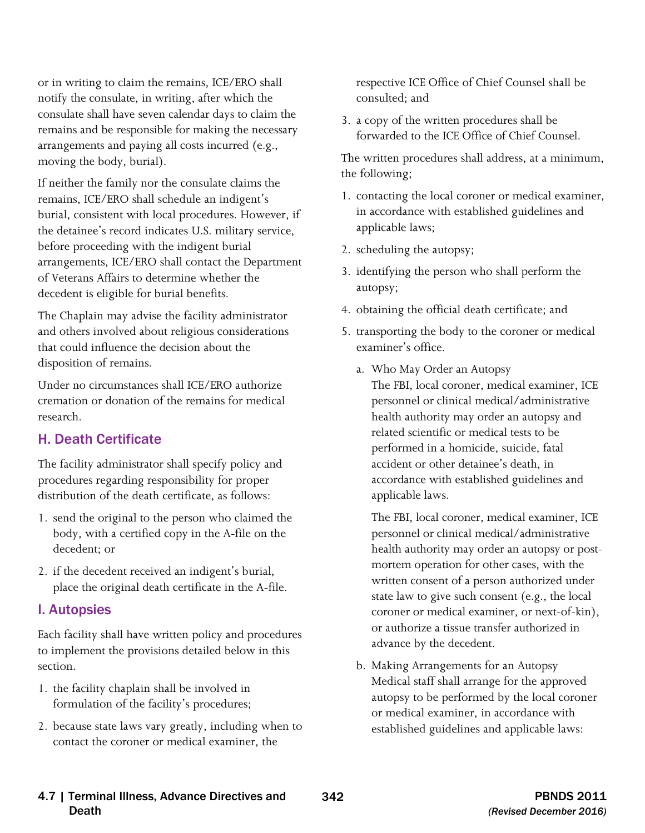or in writing to claim the remains, ICE/ERO shall notify the consulate, in writing, after which the consulate shall have seven calendar days to claim the arrangements and paying all costs incurred (e.g., remains and be responsible for making the necessary moving the body, burial).

If neither the family nor the consulate claims the remains, ICE/ERO shall schedule an indigent's burial, consistent with local procedures. However, if the detainee's record indicates U.S. military service, before proceeding with the indigent burial arrangements, ICE/ERO shall contact the Department of Veterans Affairs to determine whether the decedent is eligible for burial benefits.

The Chaplain may advise the facility administrator and others involved about religious considerations that could influence the decision about the disposition of remains.

Under no circumstances shall ICE/ERO authorize cremation or donation of the remains for medical research.

### H. Death Certificate

The facility administrator shall specify policy and procedures regarding responsibility for proper distribution of the death certificate, as follows:

- 1. send the original to the person who claimed the body, with a certified copy in the A-file on the decedent; or
- 2. if the decedent received an indigent's burial, place the original death certificate in the A-file.

#### I. Autopsies

Each facility shall have written policy and procedures to implement the provisions detailed below in this section.

- 1. the facility chaplain shall be involved in formulation of the facility's procedures;
- 2. because state laws vary greatly, including when to contact the coroner or medical examiner, the

respective ICE Office of Chief Counsel shall be consulted; and

3. a copy of the written procedures shall be forwarded to the ICE Office of Chief Counsel.

The written procedures shall address, at a minimum, the following;

- 1. contacting the local coroner or medical examiner, in accordance with established guidelines and applicable laws;
- 2. scheduling the autopsy;
- 3. identifying the person who shall perform the autopsy;
- 4. obtaining the official death certificate; and
- 5. transporting the body to the coroner or medical examiner's office.
	- health authority may order an autopsy and a. Who May Order an Autopsy The FBI, local coroner, medical examiner, ICE personnel or clinical medical/administrative related scientific or medical tests to be performed in a homicide, suicide, fatal accident or other detainee's death, in accordance with established guidelines and applicable laws.

 The FBI, local coroner, medical examiner, ICE health authority may order an autopsy or post- mortem operation for other cases, with the state law to give such consent (e.g., the local coroner or medical examiner, or next-of-kin), or authorize a tissue transfer authorized in personnel or clinical medical/administrative written consent of a person authorized under advance by the decedent.

b. Making Arrangements for an Autopsy Medical staff shall arrange for the approved autopsy to be performed by the local coroner or medical examiner, in accordance with established guidelines and applicable laws:

#### 4.7 | Terminal Illness, Advance Directives and 342 PBNDS 2011 Death *(Revised December 2016)*